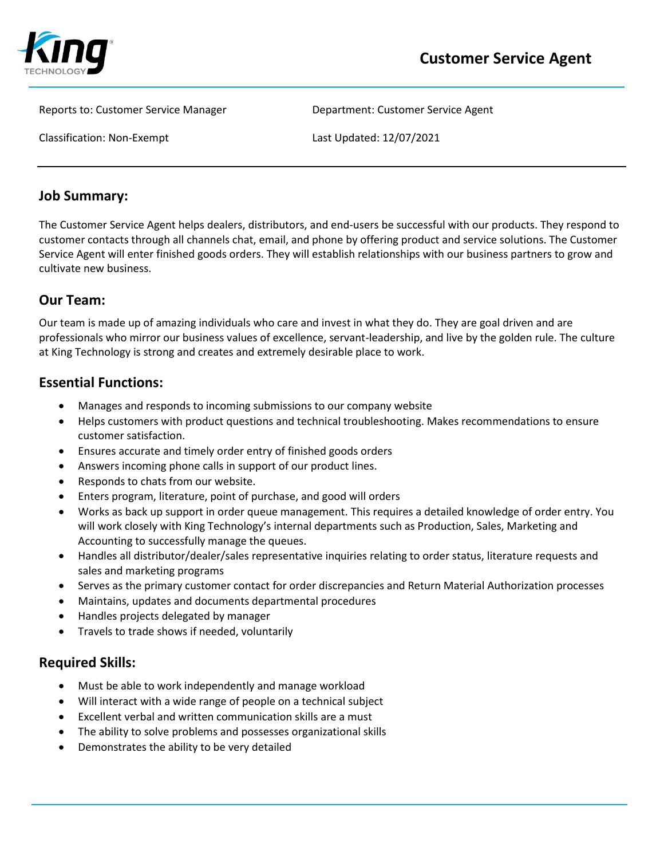

Reports to: Customer Service Manager **Department: Customer Service Agent** 

Classification: Non-Exempt Last Updated: 12/07/2021

#### **Job Summary:**

The Customer Service Agent helps dealers, distributors, and end-users be successful with our products. They respond to customer contacts through all channels chat, email, and phone by offering product and service solutions. The Customer Service Agent will enter finished goods orders. They will establish relationships with our business partners to grow and cultivate new business.

## **Our Team:**

Our team is made up of amazing individuals who care and invest in what they do. They are goal driven and are professionals who mirror our business values of excellence, servant-leadership, and live by the golden rule. The culture at King Technology is strong and creates and extremely desirable place to work.

## **Essential Functions:**

- Manages and responds to incoming submissions to our company website
- Helps customers with product questions and technical troubleshooting. Makes recommendations to ensure customer satisfaction.
- Ensures accurate and timely order entry of finished goods orders
- Answers incoming phone calls in support of our product lines.
- Responds to chats from our website.
- Enters program, literature, point of purchase, and good will orders
- Works as back up support in order queue management. This requires a detailed knowledge of order entry. You will work closely with King Technology's internal departments such as Production, Sales, Marketing and Accounting to successfully manage the queues.
- Handles all distributor/dealer/sales representative inquiries relating to order status, literature requests and sales and marketing programs
- Serves as the primary customer contact for order discrepancies and Return Material Authorization processes
- Maintains, updates and documents departmental procedures
- Handles projects delegated by manager
- Travels to trade shows if needed, voluntarily

#### **Required Skills:**

- Must be able to work independently and manage workload
- Will interact with a wide range of people on a technical subject
- Excellent verbal and written communication skills are a must
- The ability to solve problems and possesses organizational skills
- Demonstrates the ability to be very detailed